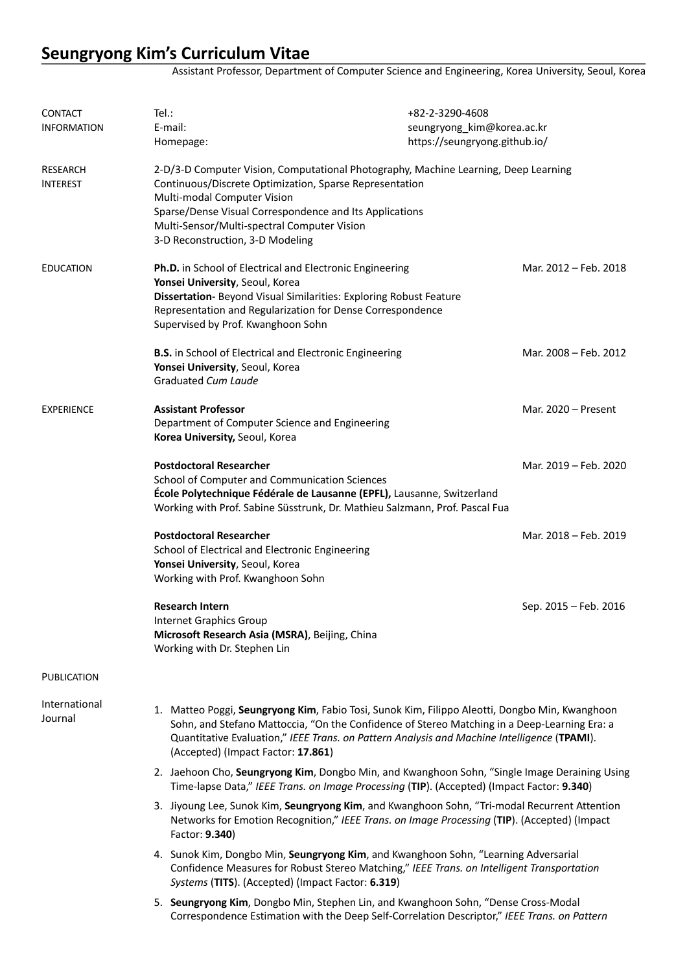## **Seungryong Kim's Curriculum Vitae**

Assistant Professor, Department of Computer Science and Engineering, Korea University, Seoul, Korea

| <b>CONTACT</b><br><b>INFORMATION</b> | Tel:<br>E-mail:<br>Homepage:                                                                                                                                                                                                                                                                                                        | +82-2-3290-4608<br>seungryong_kim@korea.ac.kr<br>https://seungryong.github.io/                                                                                                                            |                       |
|--------------------------------------|-------------------------------------------------------------------------------------------------------------------------------------------------------------------------------------------------------------------------------------------------------------------------------------------------------------------------------------|-----------------------------------------------------------------------------------------------------------------------------------------------------------------------------------------------------------|-----------------------|
| <b>RESEARCH</b><br><b>INTEREST</b>   | Multi-modal Computer Vision<br>Multi-Sensor/Multi-spectral Computer Vision<br>3-D Reconstruction, 3-D Modeling                                                                                                                                                                                                                      | 2-D/3-D Computer Vision, Computational Photography, Machine Learning, Deep Learning<br>Continuous/Discrete Optimization, Sparse Representation<br>Sparse/Dense Visual Correspondence and Its Applications |                       |
| <b>EDUCATION</b>                     | Ph.D. in School of Electrical and Electronic Engineering<br>Yonsei University, Seoul, Korea<br>Dissertation- Beyond Visual Similarities: Exploring Robust Feature<br>Representation and Regularization for Dense Correspondence<br>Supervised by Prof. Kwanghoon Sohn                                                               |                                                                                                                                                                                                           | Mar. 2012 – Feb. 2018 |
|                                      | <b>B.S.</b> in School of Electrical and Electronic Engineering<br>Yonsei University, Seoul, Korea<br>Graduated Cum Laude                                                                                                                                                                                                            |                                                                                                                                                                                                           | Mar. 2008 - Feb. 2012 |
| <b>EXPERIENCE</b>                    | <b>Assistant Professor</b><br>Department of Computer Science and Engineering<br>Korea University, Seoul, Korea                                                                                                                                                                                                                      |                                                                                                                                                                                                           | Mar. 2020 - Present   |
|                                      | <b>Postdoctoral Researcher</b><br>School of Computer and Communication Sciences<br>École Polytechnique Fédérale de Lausanne (EPFL), Lausanne, Switzerland<br>Working with Prof. Sabine Süsstrunk, Dr. Mathieu Salzmann, Prof. Pascal Fua                                                                                            |                                                                                                                                                                                                           | Mar. 2019 - Feb. 2020 |
|                                      | <b>Postdoctoral Researcher</b><br>School of Electrical and Electronic Engineering<br>Yonsei University, Seoul, Korea<br>Working with Prof. Kwanghoon Sohn                                                                                                                                                                           |                                                                                                                                                                                                           | Mar. 2018 - Feb. 2019 |
|                                      | <b>Research Intern</b><br>Internet Graphics Group<br>Microsoft Research Asia (MSRA), Beijing, China<br>Working with Dr. Stephen Lin                                                                                                                                                                                                 |                                                                                                                                                                                                           | Sep. 2015 - Feb. 2016 |
| <b>PUBLICATION</b>                   |                                                                                                                                                                                                                                                                                                                                     |                                                                                                                                                                                                           |                       |
| International<br>Journal             | 1. Matteo Poggi, Seungryong Kim, Fabio Tosi, Sunok Kim, Filippo Aleotti, Dongbo Min, Kwanghoon<br>Sohn, and Stefano Mattoccia, "On the Confidence of Stereo Matching in a Deep-Learning Era: a<br>Quantitative Evaluation," IEEE Trans. on Pattern Analysis and Machine Intelligence (TPAMI).<br>(Accepted) (Impact Factor: 17.861) |                                                                                                                                                                                                           |                       |
|                                      | 2. Jaehoon Cho, Seungryong Kim, Dongbo Min, and Kwanghoon Sohn, "Single Image Deraining Using<br>Time-lapse Data," IEEE Trans. on Image Processing (TIP). (Accepted) (Impact Factor: 9.340)                                                                                                                                         |                                                                                                                                                                                                           |                       |
|                                      | 3. Jiyoung Lee, Sunok Kim, Seungryong Kim, and Kwanghoon Sohn, "Tri-modal Recurrent Attention<br>Networks for Emotion Recognition," IEEE Trans. on Image Processing (TIP). (Accepted) (Impact<br>Factor: 9.340)                                                                                                                     |                                                                                                                                                                                                           |                       |
|                                      | 4. Sunok Kim, Dongbo Min, Seungryong Kim, and Kwanghoon Sohn, "Learning Adversarial<br>Confidence Measures for Robust Stereo Matching," IEEE Trans. on Intelligent Transportation<br>Systems (TITS). (Accepted) (Impact Factor: 6.319)                                                                                              |                                                                                                                                                                                                           |                       |
|                                      | 5. Seungryong Kim, Dongbo Min, Stephen Lin, and Kwanghoon Sohn, "Dense Cross-Modal<br>Correspondence Estimation with the Deep Self-Correlation Descriptor," IEEE Trans. on Pattern                                                                                                                                                  |                                                                                                                                                                                                           |                       |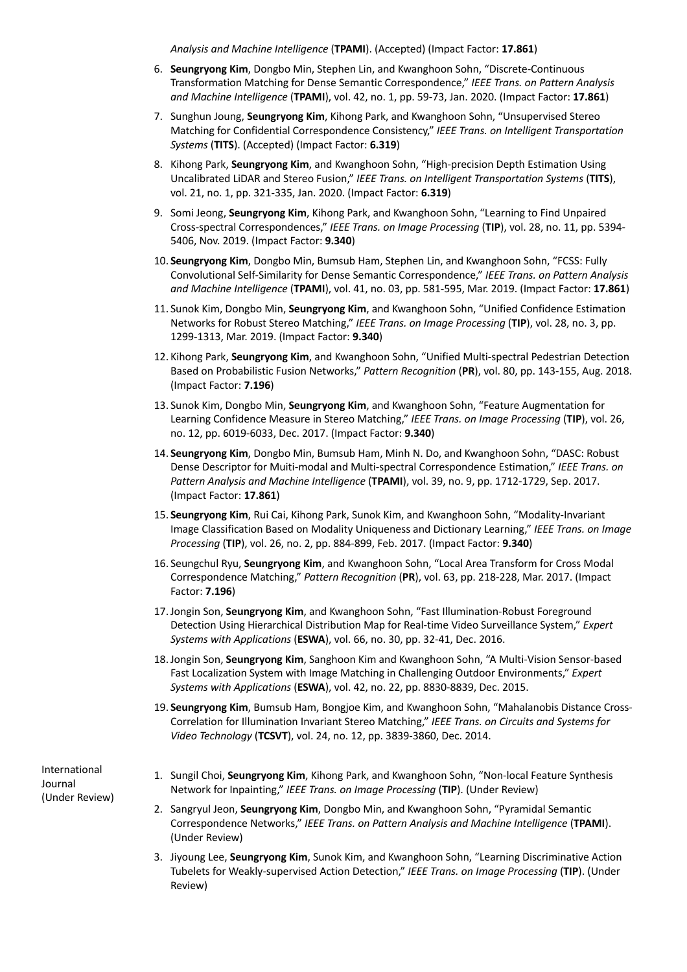*Analysis and Machine Intelligence* (**TPAMI**). (Accepted) (Impact Factor: **17.861**)

- 6. **Seungryong Kim**, Dongbo Min, Stephen Lin, and Kwanghoon Sohn, "Discrete-Continuous Transformation Matching for Dense Semantic Correspondence," *IEEE Trans. on Pattern Analysis and Machine Intelligence* (**TPAMI**), vol. 42, no. 1, pp. 59-73, Jan. 2020. (Impact Factor: **17.861**)
- 7. Sunghun Joung, **Seungryong Kim**, Kihong Park, and Kwanghoon Sohn, "Unsupervised Stereo Matching for Confidential Correspondence Consistency," *IEEE Trans. on Intelligent Transportation Systems* (**TITS**). (Accepted) (Impact Factor: **6.319**)
- 8. Kihong Park, **Seungryong Kim**, and Kwanghoon Sohn, "High-precision Depth Estimation Using Uncalibrated LiDAR and Stereo Fusion," *IEEE Trans. on Intelligent Transportation Systems* (**TITS**), vol. 21, no. 1, pp. 321-335, Jan. 2020. (Impact Factor: **6.319**)
- 9. Somi Jeong, **Seungryong Kim**, Kihong Park, and Kwanghoon Sohn, "Learning to Find Unpaired Cross-spectral Correspondences," *IEEE Trans. on Image Processing* (**TIP**), vol. 28, no. 11, pp. 5394- 5406, Nov. 2019. (Impact Factor: **9.340**)
- 10. **Seungryong Kim**, Dongbo Min, Bumsub Ham, Stephen Lin, and Kwanghoon Sohn, "FCSS: Fully Convolutional Self-Similarity for Dense Semantic Correspondence," *IEEE Trans. on Pattern Analysis and Machine Intelligence* (**TPAMI**), vol. 41, no. 03, pp. 581-595, Mar. 2019. (Impact Factor: **17.861**)
- 11. Sunok Kim, Dongbo Min, **Seungryong Kim**, and Kwanghoon Sohn, "Unified Confidence Estimation Networks for Robust Stereo Matching," *IEEE Trans. on Image Processing* (**TIP**), vol. 28, no. 3, pp. 1299-1313, Mar. 2019. (Impact Factor: **9.340**)
- 12. Kihong Park, **Seungryong Kim**, and Kwanghoon Sohn, "Unified Multi-spectral Pedestrian Detection Based on Probabilistic Fusion Networks," *Pattern Recognition* (**PR**), vol. 80, pp. 143-155, Aug. 2018. (Impact Factor: **7.196**)
- 13. Sunok Kim, Dongbo Min, **Seungryong Kim**, and Kwanghoon Sohn, "Feature Augmentation for Learning Confidence Measure in Stereo Matching," *IEEE Trans. on Image Processing* (**TIP**), vol. 26, no. 12, pp. 6019-6033, Dec. 2017. (Impact Factor: **9.340**)
- 14. **Seungryong Kim**, Dongbo Min, Bumsub Ham, Minh N. Do, and Kwanghoon Sohn, "DASC: Robust Dense Descriptor for Muiti-modal and Multi-spectral Correspondence Estimation," *IEEE Trans. on Pattern Analysis and Machine Intelligence* (**TPAMI**), vol. 39, no. 9, pp. 1712-1729, Sep. 2017. (Impact Factor: **17.861**)
- 15. **Seungryong Kim**, Rui Cai, Kihong Park, Sunok Kim, and Kwanghoon Sohn, "Modality-Invariant Image Classification Based on Modality Uniqueness and Dictionary Learning," *IEEE Trans. on Image Processing* (**TIP**), vol. 26, no. 2, pp. 884-899, Feb. 2017. (Impact Factor: **9.340**)
- 16. Seungchul Ryu, **Seungryong Kim**, and Kwanghoon Sohn, "Local Area Transform for Cross Modal Correspondence Matching," *Pattern Recognition* (**PR**), vol. 63, pp. 218-228, Mar. 2017. (Impact Factor: **7.196**)
- 17.Jongin Son, **Seungryong Kim**, and Kwanghoon Sohn, "Fast Illumination-Robust Foreground Detection Using Hierarchical Distribution Map for Real-time Video Surveillance System," *Expert Systems with Applications* (**ESWA**), vol. 66, no. 30, pp. 32-41, Dec. 2016.
- 18.Jongin Son, **Seungryong Kim**, Sanghoon Kim and Kwanghoon Sohn, "A Multi-Vision Sensor-based Fast Localization System with Image Matching in Challenging Outdoor Environments," *Expert Systems with Applications* (**ESWA**), vol. 42, no. 22, pp. 8830-8839, Dec. 2015.
- 19. **Seungryong Kim**, Bumsub Ham, Bongjoe Kim, and Kwanghoon Sohn, "Mahalanobis Distance Cross-Correlation for Illumination Invariant Stereo Matching," *IEEE Trans. on Circuits and Systems for Video Technology* (**TCSVT**), vol. 24, no. 12, pp. 3839-3860, Dec. 2014.

International Journal (Under Review)

- 1. Sungil Choi, **Seungryong Kim**, Kihong Park, and Kwanghoon Sohn, "Non-local Feature Synthesis Network for Inpainting," *IEEE Trans. on Image Processing* (**TIP**). (Under Review)
- 2. Sangryul Jeon, **Seungryong Kim**, Dongbo Min, and Kwanghoon Sohn, "Pyramidal Semantic Correspondence Networks," *IEEE Trans. on Pattern Analysis and Machine Intelligence* (**TPAMI**). (Under Review)
- 3. Jiyoung Lee, **Seungryong Kim**, Sunok Kim, and Kwanghoon Sohn, "Learning Discriminative Action Tubelets for Weakly-supervised Action Detection," *IEEE Trans. on Image Processing* (**TIP**). (Under Review)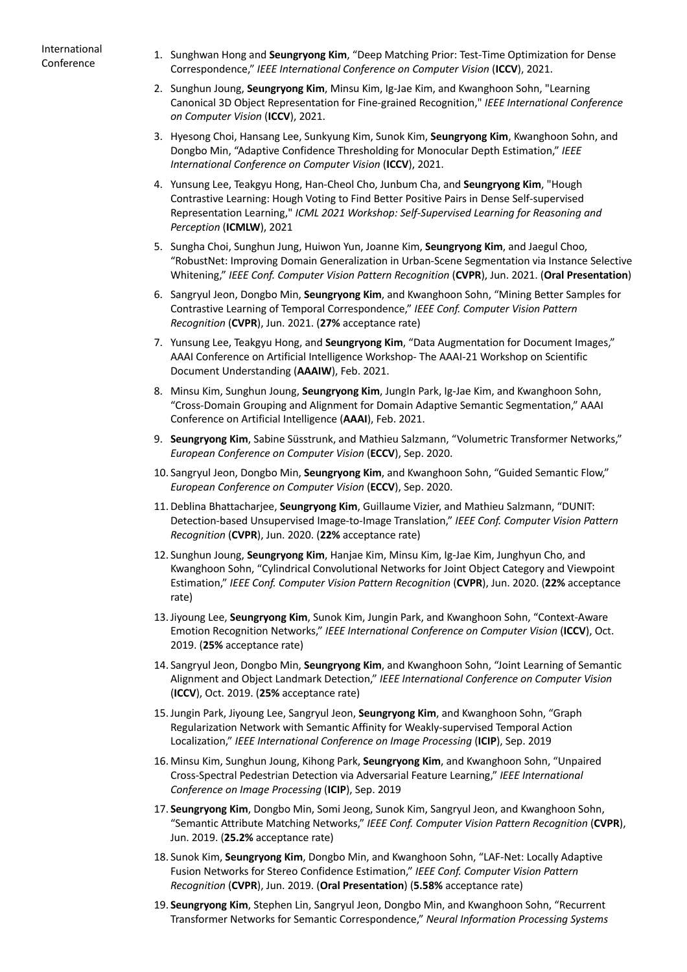- 1. Sunghwan Hong and **Seungryong Kim**, "Deep Matching Prior: Test-Time Optimization for Dense Correspondence," *IEEE International Conference on Computer Vision* (**ICCV**), 2021.
- 2. Sunghun Joung, **Seungryong Kim**, Minsu Kim, Ig-Jae Kim, and Kwanghoon Sohn, "Learning Canonical 3D Object Representation for Fine-grained Recognition," *IEEE International Conference on Computer Vision* (**ICCV**), 2021.
- 3. Hyesong Choi, Hansang Lee, Sunkyung Kim, Sunok Kim, **Seungryong Kim**, Kwanghoon Sohn, and Dongbo Min, "Adaptive Confidence Thresholding for Monocular Depth Estimation," *IEEE International Conference on Computer Vision* (**ICCV**), 2021.
- 4. Yunsung Lee, Teakgyu Hong, Han-Cheol Cho, Junbum Cha, and **Seungryong Kim**, "Hough Contrastive Learning: Hough Voting to Find Better Positive Pairs in Dense Self-supervised Representation Learning," *ICML 2021 Workshop: Self-Supervised Learning for Reasoning and Perception* (**ICMLW**), 2021
- 5. Sungha Choi, Sunghun Jung, Huiwon Yun, Joanne Kim, **Seungryong Kim**, and Jaegul Choo, "RobustNet: Improving Domain Generalization in Urban-Scene Segmentation via Instance Selective Whitening," *IEEE Conf. Computer Vision Pattern Recognition* (**CVPR**), Jun. 2021. (**Oral Presentation**)
- 6. Sangryul Jeon, Dongbo Min, **Seungryong Kim**, and Kwanghoon Sohn, "Mining Better Samples for Contrastive Learning of Temporal Correspondence," *IEEE Conf. Computer Vision Pattern Recognition* (**CVPR**), Jun. 2021. (**27%** acceptance rate)
- 7. Yunsung Lee, Teakgyu Hong, and **Seungryong Kim**, "Data Augmentation for Document Images," AAAI Conference on Artificial Intelligence Workshop- The AAAI-21 Workshop on Scientific Document Understanding (**AAAIW**), Feb. 2021.
- 8. Minsu Kim, Sunghun Joung, **Seungryong Kim**, JungIn Park, Ig-Jae Kim, and Kwanghoon Sohn, "Cross-Domain Grouping and Alignment for Domain Adaptive Semantic Segmentation," AAAI Conference on Artificial Intelligence (**AAAI**), Feb. 2021.
- 9. **Seungryong Kim**, Sabine Süsstrunk, and Mathieu Salzmann, "Volumetric Transformer Networks," *European Conference on Computer Vision* (**ECCV**), Sep. 2020.
- 10. Sangryul Jeon, Dongbo Min, **Seungryong Kim**, and Kwanghoon Sohn, "Guided Semantic Flow," *European Conference on Computer Vision* (**ECCV**), Sep. 2020.
- 11.Deblina Bhattacharjee, **Seungryong Kim**, Guillaume Vizier, and Mathieu Salzmann, "DUNIT: Detection-based Unsupervised Image-to-Image Translation," *IEEE Conf. Computer Vision Pattern Recognition* (**CVPR**), Jun. 2020. (**22%** acceptance rate)
- 12. Sunghun Joung, **Seungryong Kim**, Hanjae Kim, Minsu Kim, Ig-Jae Kim, Junghyun Cho, and Kwanghoon Sohn, "Cylindrical Convolutional Networks for Joint Object Category and Viewpoint Estimation," *IEEE Conf. Computer Vision Pattern Recognition* (**CVPR**), Jun. 2020. (**22%** acceptance rate)
- 13.Jiyoung Lee, **Seungryong Kim**, Sunok Kim, Jungin Park, and Kwanghoon Sohn, "Context-Aware Emotion Recognition Networks," *IEEE International Conference on Computer Vision* (**ICCV**), Oct. 2019. (**25%** acceptance rate)
- 14. Sangryul Jeon, Dongbo Min, **Seungryong Kim**, and Kwanghoon Sohn, "Joint Learning of Semantic Alignment and Object Landmark Detection," *IEEE International Conference on Computer Vision* (**ICCV**), Oct. 2019. (**25%** acceptance rate)
- 15.Jungin Park, Jiyoung Lee, Sangryul Jeon, **Seungryong Kim**, and Kwanghoon Sohn, "Graph Regularization Network with Semantic Affinity for Weakly-supervised Temporal Action Localization," *IEEE International Conference on Image Processing* (**ICIP**), Sep. 2019
- 16. Minsu Kim, Sunghun Joung, Kihong Park, **Seungryong Kim**, and Kwanghoon Sohn, "Unpaired Cross-Spectral Pedestrian Detection via Adversarial Feature Learning," *IEEE International Conference on Image Processing* (**ICIP**), Sep. 2019
- 17. **Seungryong Kim**, Dongbo Min, Somi Jeong, Sunok Kim, Sangryul Jeon, and Kwanghoon Sohn, "Semantic Attribute Matching Networks," *IEEE Conf. Computer Vision Pattern Recognition* (**CVPR**), Jun. 2019. (**25.2%** acceptance rate)
- 18. Sunok Kim, **Seungryong Kim**, Dongbo Min, and Kwanghoon Sohn, "LAF-Net: Locally Adaptive Fusion Networks for Stereo Confidence Estimation," *IEEE Conf. Computer Vision Pattern Recognition* (**CVPR**), Jun. 2019. (**Oral Presentation**) (**5.58%** acceptance rate)
- 19. **Seungryong Kim**, Stephen Lin, Sangryul Jeon, Dongbo Min, and Kwanghoon Sohn, "Recurrent Transformer Networks for Semantic Correspondence," *Neural Information Processing Systems*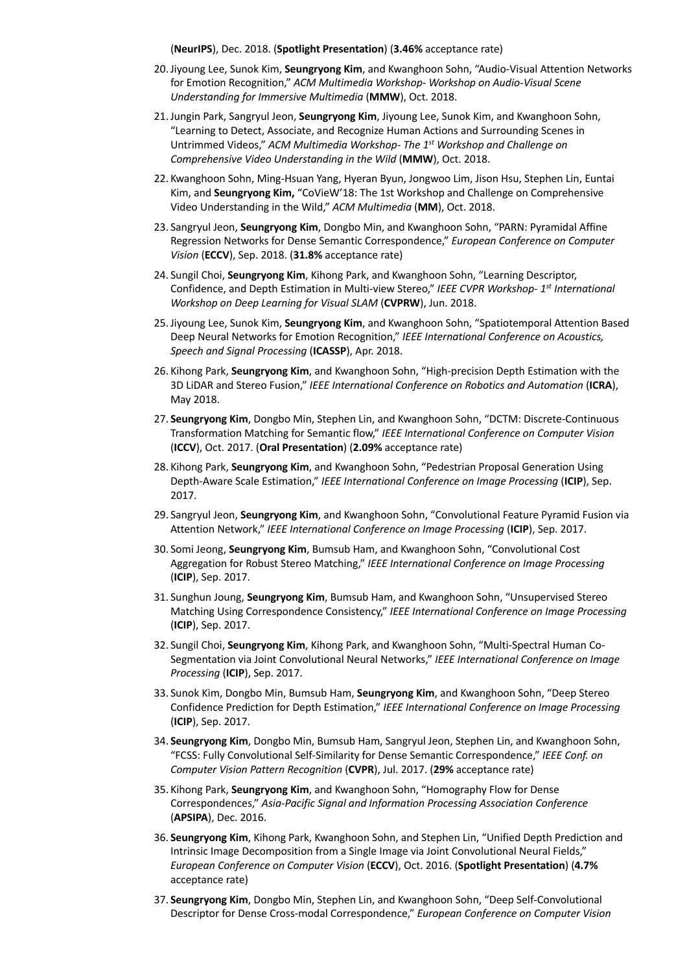(**NeurIPS**), Dec. 2018. (**Spotlight Presentation**) (**3.46%** acceptance rate)

- 20.Jiyoung Lee, Sunok Kim, **Seungryong Kim**, and Kwanghoon Sohn, "Audio-Visual Attention Networks for Emotion Recognition," *ACM Multimedia Workshop- Workshop on Audio-Visual Scene Understanding for Immersive Multimedia* (**MMW**), Oct. 2018.
- 21.Jungin Park, Sangryul Jeon, **Seungryong Kim**, Jiyoung Lee, Sunok Kim, and Kwanghoon Sohn, "Learning to Detect, Associate, and Recognize Human Actions and Surrounding Scenes in Untrimmed Videos," *ACM Multimedia Workshop- The 1st Workshop and Challenge on Comprehensive Video Understanding in the Wild* (**MMW**), Oct. 2018.
- 22. Kwanghoon Sohn, Ming-Hsuan Yang, Hyeran Byun, Jongwoo Lim, Jison Hsu, Stephen Lin, Euntai Kim, and **Seungryong Kim,** "CoVieW'18: The 1st Workshop and Challenge on Comprehensive Video Understanding in the Wild," *ACM Multimedia* (**MM**), Oct. 2018.
- 23. Sangryul Jeon, **Seungryong Kim**, Dongbo Min, and Kwanghoon Sohn, "PARN: Pyramidal Affine Regression Networks for Dense Semantic Correspondence," *European Conference on Computer Vision* (**ECCV**), Sep. 2018. (**31.8%** acceptance rate)
- 24. Sungil Choi, **Seungryong Kim**, Kihong Park, and Kwanghoon Sohn, "Learning Descriptor, Confidence, and Depth Estimation in Multi-view Stereo," *IEEE CVPR Workshop- 1st International Workshop on Deep Learning for Visual SLAM* (**CVPRW**), Jun. 2018.
- 25.Jiyoung Lee, Sunok Kim, **Seungryong Kim**, and Kwanghoon Sohn, "Spatiotemporal Attention Based Deep Neural Networks for Emotion Recognition," *IEEE International Conference on Acoustics, Speech and Signal Processing* (**ICASSP**), Apr. 2018.
- 26. Kihong Park, **Seungryong Kim**, and Kwanghoon Sohn, "High-precision Depth Estimation with the 3D LiDAR and Stereo Fusion," *IEEE International Conference on Robotics and Automation* (**ICRA**), May 2018.
- 27. **Seungryong Kim**, Dongbo Min, Stephen Lin, and Kwanghoon Sohn, "DCTM: Discrete-Continuous Transformation Matching for Semantic flow," *IEEE International Conference on Computer Vision*  (**ICCV**), Oct. 2017. (**Oral Presentation**) (**2.09%** acceptance rate)
- 28. Kihong Park, **Seungryong Kim**, and Kwanghoon Sohn, "Pedestrian Proposal Generation Using Depth-Aware Scale Estimation," *IEEE International Conference on Image Processing* (**ICIP**), Sep. 2017.
- 29. Sangryul Jeon, **Seungryong Kim**, and Kwanghoon Sohn, "Convolutional Feature Pyramid Fusion via Attention Network," *IEEE International Conference on Image Processing* (**ICIP**), Sep. 2017.
- 30. Somi Jeong, **Seungryong Kim**, Bumsub Ham, and Kwanghoon Sohn, "Convolutional Cost Aggregation for Robust Stereo Matching," *IEEE International Conference on Image Processing* (**ICIP**), Sep. 2017.
- 31. Sunghun Joung, **Seungryong Kim**, Bumsub Ham, and Kwanghoon Sohn, "Unsupervised Stereo Matching Using Correspondence Consistency," *IEEE International Conference on Image Processing* (**ICIP**), Sep. 2017.
- 32. Sungil Choi, **Seungryong Kim**, Kihong Park, and Kwanghoon Sohn, "Multi-Spectral Human Co-Segmentation via Joint Convolutional Neural Networks," *IEEE International Conference on Image Processing* (**ICIP**), Sep. 2017.
- 33. Sunok Kim, Dongbo Min, Bumsub Ham, **Seungryong Kim**, and Kwanghoon Sohn, "Deep Stereo Confidence Prediction for Depth Estimation," *IEEE International Conference on Image Processing* (**ICIP**), Sep. 2017.
- 34. **Seungryong Kim**, Dongbo Min, Bumsub Ham, Sangryul Jeon, Stephen Lin, and Kwanghoon Sohn, "FCSS: Fully Convolutional Self-Similarity for Dense Semantic Correspondence," *IEEE Conf. on Computer Vision Pattern Recognition* (**CVPR**), Jul. 2017. (**29%** acceptance rate)
- 35. Kihong Park, **Seungryong Kim**, and Kwanghoon Sohn, "Homography Flow for Dense Correspondences," *Asia-Pacific Signal and Information Processing Association Conference*  (**APSIPA**), Dec. 2016.
- 36. **Seungryong Kim**, Kihong Park, Kwanghoon Sohn, and Stephen Lin, "Unified Depth Prediction and Intrinsic Image Decomposition from a Single Image via Joint Convolutional Neural Fields," *European Conference on Computer Vision* (**ECCV**), Oct. 2016. (**Spotlight Presentation**) (**4.7%** acceptance rate)
- 37. **Seungryong Kim**, Dongbo Min, Stephen Lin, and Kwanghoon Sohn, "Deep Self-Convolutional Descriptor for Dense Cross-modal Correspondence," *European Conference on Computer Vision*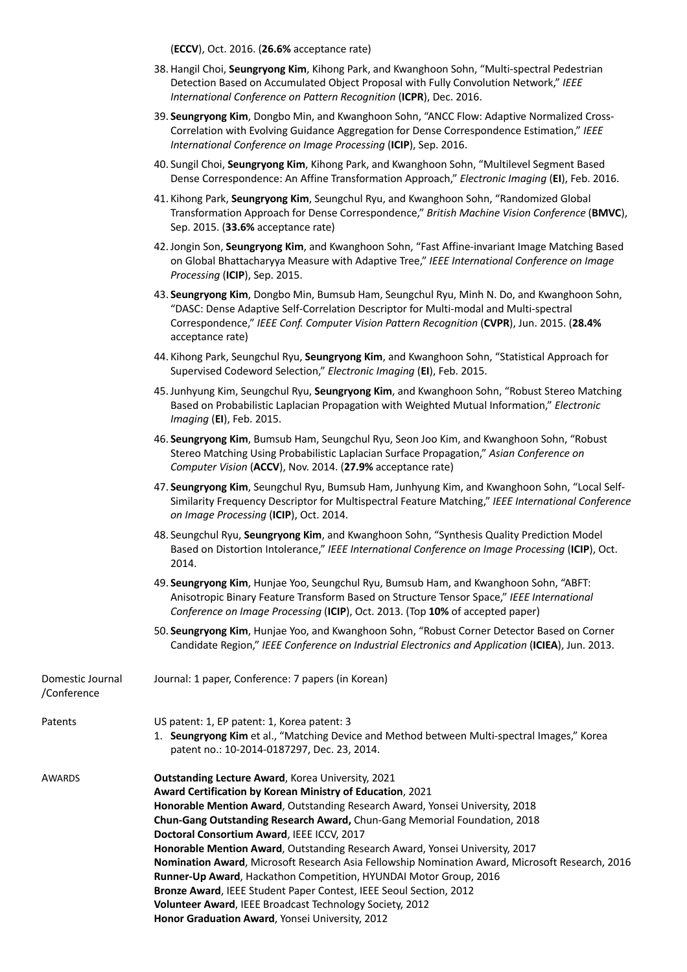(**ECCV**), Oct. 2016. (**26.6%** acceptance rate)

- 38.Hangil Choi, **Seungryong Kim**, Kihong Park, and Kwanghoon Sohn, "Multi-spectral Pedestrian Detection Based on Accumulated Object Proposal with Fully Convolution Network," *IEEE International Conference on Pattern Recognition* (**ICPR**), Dec. 2016.
- 39. **Seungryong Kim**, Dongbo Min, and Kwanghoon Sohn, "ANCC Flow: Adaptive Normalized Cross-Correlation with Evolving Guidance Aggregation for Dense Correspondence Estimation," *IEEE International Conference on Image Processing* (**ICIP**), Sep. 2016.
- 40. Sungil Choi, **Seungryong Kim**, Kihong Park, and Kwanghoon Sohn, "Multilevel Segment Based Dense Correspondence: An Affine Transformation Approach," *Electronic Imaging* (**EI**), Feb. 2016.
- 41. Kihong Park, **Seungryong Kim**, Seungchul Ryu, and Kwanghoon Sohn, "Randomized Global Transformation Approach for Dense Correspondence," *British Machine Vision Conference* (**BMVC**), Sep. 2015. (**33.6%** acceptance rate)
- 42.Jongin Son, **Seungryong Kim**, and Kwanghoon Sohn, "Fast Affine-invariant Image Matching Based on Global Bhattacharyya Measure with Adaptive Tree," *IEEE International Conference on Image Processing* (**ICIP**), Sep. 2015.
- 43. **Seungryong Kim**, Dongbo Min, Bumsub Ham, Seungchul Ryu, Minh N. Do, and Kwanghoon Sohn, "DASC: Dense Adaptive Self-Correlation Descriptor for Multi-modal and Multi-spectral Correspondence," *IEEE Conf. Computer Vision Pattern Recognition* (**CVPR**), Jun. 2015. (**28.4%** acceptance rate)
- 44. Kihong Park, Seungchul Ryu, **Seungryong Kim**, and Kwanghoon Sohn, "Statistical Approach for Supervised Codeword Selection," *Electronic Imaging* (**EI**), Feb. 2015.
- 45.Junhyung Kim, Seungchul Ryu, **Seungryong Kim**, and Kwanghoon Sohn, "Robust Stereo Matching Based on Probabilistic Laplacian Propagation with Weighted Mutual Information," *Electronic Imaging* (**EI**), Feb. 2015.
- 46. **Seungryong Kim**, Bumsub Ham, Seungchul Ryu, Seon Joo Kim, and Kwanghoon Sohn, "Robust Stereo Matching Using Probabilistic Laplacian Surface Propagation," *Asian Conference on Computer Vision* (**ACCV**), Nov. 2014. (**27.9%** acceptance rate)
- 47. **Seungryong Kim**, Seungchul Ryu, Bumsub Ham, Junhyung Kim, and Kwanghoon Sohn, "Local Self-Similarity Frequency Descriptor for Multispectral Feature Matching," *IEEE International Conference on Image Processing* (**ICIP**), Oct. 2014.
- 48. Seungchul Ryu, **Seungryong Kim**, and Kwanghoon Sohn, "Synthesis Quality Prediction Model Based on Distortion Intolerance," *IEEE International Conference on Image Processing* (**ICIP**), Oct. 2014.
- 49. **Seungryong Kim**, Hunjae Yoo, Seungchul Ryu, Bumsub Ham, and Kwanghoon Sohn, "ABFT: Anisotropic Binary Feature Transform Based on Structure Tensor Space," *IEEE International Conference on Image Processing* (**ICIP**), Oct. 2013. (Top **10%** of accepted paper)
- 50. **Seungryong Kim**, Hunjae Yoo, and Kwanghoon Sohn, "Robust Corner Detector Based on Corner Candidate Region," *IEEE Conference on Industrial Electronics and Application* (**ICIEA**), Jun. 2013.

Domestic Journal /Conference Journal: 1 paper, Conference: 7 papers (in Korean) Patents US patent: 1, EP patent: 1, Korea patent: 3 1. **Seungryong Kim** et al., "Matching Device and Method between Multi-spectral Images," Korea patent no.: 10-2014-0187297, Dec. 23, 2014. AWARDS **Outstanding Lecture Award**, Korea University, 2021 **Award Certification by Korean Ministry of Education**, 2021 **Honorable Mention Award**, Outstanding Research Award, Yonsei University, 2018 **Chun-Gang Outstanding Research Award,** Chun-Gang Memorial Foundation, 2018 **Doctoral Consortium Award**, IEEE ICCV, 2017 **Honorable Mention Award**, Outstanding Research Award, Yonsei University, 2017 **Nomination Award**, Microsoft Research Asia Fellowship Nomination Award, Microsoft Research, 2016 **Runner-Up Award**, Hackathon Competition, HYUNDAI Motor Group, 2016 **Bronze Award**, IEEE Student Paper Contest, IEEE Seoul Section, 2012 **Volunteer Award**, IEEE Broadcast Technology Society, 2012 **Honor Graduation Award**, Yonsei University, 2012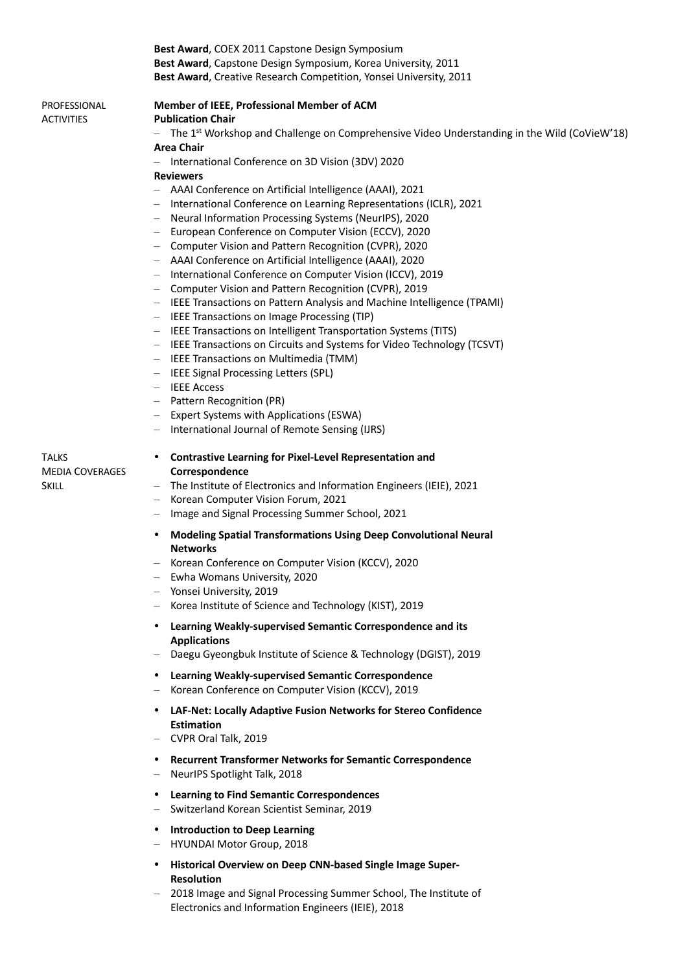|                        | Best Award, COEX 2011 Capstone Design Symposium                                                                                |  |  |  |
|------------------------|--------------------------------------------------------------------------------------------------------------------------------|--|--|--|
|                        | Best Award, Capstone Design Symposium, Korea University, 2011                                                                  |  |  |  |
|                        | Best Award, Creative Research Competition, Yonsei University, 2011                                                             |  |  |  |
| PROFESSIONAL           | Member of IEEE, Professional Member of ACM                                                                                     |  |  |  |
| Activities             | <b>Publication Chair</b>                                                                                                       |  |  |  |
|                        | $-$ The 1 <sup>st</sup> Workshop and Challenge on Comprehensive Video Understanding in the Wild (CoVieW'18)                    |  |  |  |
|                        | <b>Area Chair</b>                                                                                                              |  |  |  |
|                        | - International Conference on 3D Vision (3DV) 2020                                                                             |  |  |  |
|                        | <b>Reviewers</b>                                                                                                               |  |  |  |
|                        | - AAAI Conference on Artificial Intelligence (AAAI), 2021                                                                      |  |  |  |
|                        | - International Conference on Learning Representations (ICLR), 2021<br>- Neural Information Processing Systems (NeurlPS), 2020 |  |  |  |
|                        | - European Conference on Computer Vision (ECCV), 2020                                                                          |  |  |  |
|                        | - Computer Vision and Pattern Recognition (CVPR), 2020                                                                         |  |  |  |
|                        | - AAAI Conference on Artificial Intelligence (AAAI), 2020                                                                      |  |  |  |
|                        | - International Conference on Computer Vision (ICCV), 2019                                                                     |  |  |  |
|                        | - Computer Vision and Pattern Recognition (CVPR), 2019                                                                         |  |  |  |
|                        | - IEEE Transactions on Pattern Analysis and Machine Intelligence (TPAMI)                                                       |  |  |  |
|                        | - IEEE Transactions on Image Processing (TIP)                                                                                  |  |  |  |
|                        | - IEEE Transactions on Intelligent Transportation Systems (TITS)                                                               |  |  |  |
|                        | - IEEE Transactions on Circuits and Systems for Video Technology (TCSVT)                                                       |  |  |  |
|                        | - IEEE Transactions on Multimedia (TMM)                                                                                        |  |  |  |
|                        | - IEEE Signal Processing Letters (SPL)<br>- IEEE Access                                                                        |  |  |  |
|                        | - Pattern Recognition (PR)                                                                                                     |  |  |  |
|                        | - Expert Systems with Applications (ESWA)                                                                                      |  |  |  |
|                        | - International Journal of Remote Sensing (IJRS)                                                                               |  |  |  |
| <b>TALKS</b>           | <b>Contrastive Learning for Pixel-Level Representation and</b>                                                                 |  |  |  |
| <b>MEDIA COVERAGES</b> | Correspondence                                                                                                                 |  |  |  |
| Skill                  | - The Institute of Electronics and Information Engineers (IEIE), 2021                                                          |  |  |  |
|                        | - Korean Computer Vision Forum, 2021                                                                                           |  |  |  |
|                        | Image and Signal Processing Summer School, 2021                                                                                |  |  |  |
|                        | Modeling Spatial Transformations Using Deep Convolutional Neural<br>٠                                                          |  |  |  |
|                        | <b>Networks</b>                                                                                                                |  |  |  |
|                        | Korean Conference on Computer Vision (KCCV), 2020                                                                              |  |  |  |
|                        | Ewha Womans University, 2020<br>Yonsei University, 2019<br>$\qquad \qquad -$                                                   |  |  |  |
|                        | Korea Institute of Science and Technology (KIST), 2019                                                                         |  |  |  |
|                        | Learning Weakly-supervised Semantic Correspondence and its<br>٠                                                                |  |  |  |
|                        | <b>Applications</b>                                                                                                            |  |  |  |
|                        | Daegu Gyeongbuk Institute of Science & Technology (DGIST), 2019                                                                |  |  |  |
|                        | <b>Learning Weakly-supervised Semantic Correspondence</b><br>٠                                                                 |  |  |  |
|                        | Korean Conference on Computer Vision (KCCV), 2019                                                                              |  |  |  |
|                        | LAF-Net: Locally Adaptive Fusion Networks for Stereo Confidence<br>٠                                                           |  |  |  |
|                        | <b>Estimation</b>                                                                                                              |  |  |  |
|                        | CVPR Oral Talk, 2019                                                                                                           |  |  |  |
|                        | <b>Recurrent Transformer Networks for Semantic Correspondence</b>                                                              |  |  |  |
|                        | NeurIPS Spotlight Talk, 2018                                                                                                   |  |  |  |
|                        | <b>Learning to Find Semantic Correspondences</b><br>٠                                                                          |  |  |  |
|                        | Switzerland Korean Scientist Seminar, 2019                                                                                     |  |  |  |
|                        | <b>Introduction to Deep Learning</b>                                                                                           |  |  |  |
|                        | <b>HYUNDAI Motor Group, 2018</b>                                                                                               |  |  |  |
|                        | Historical Overview on Deep CNN-based Single Image Super-<br>٠                                                                 |  |  |  |
|                        | <b>Resolution</b>                                                                                                              |  |  |  |
|                        | 2018 Image and Signal Processing Summer School, The Institute of                                                               |  |  |  |
|                        | Electronics and Information Engineers (IEIE), 2018                                                                             |  |  |  |